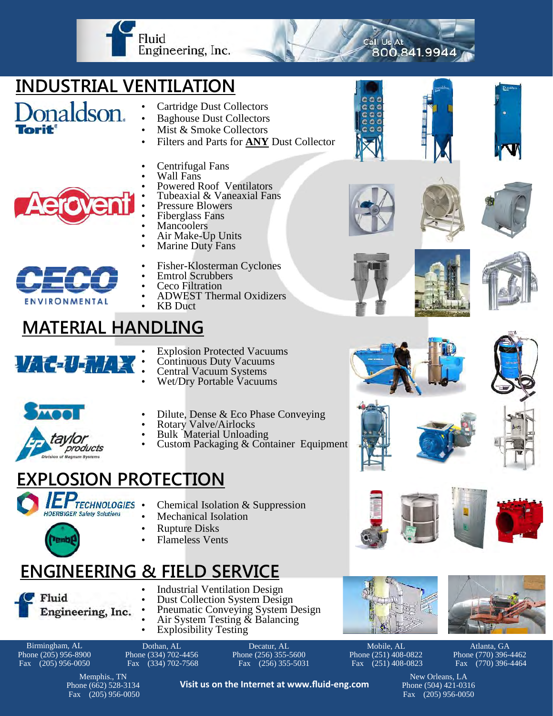

## **INDUSTRIAL VENTILATION**

- onaldson.
- Cartridge Dust Collectors
- Baghouse Dust Collectors
- Mist & Smoke Collectors
- Filters and Parts for **ANY** Dust Collector
- Centrifugal Fans
- Wall Fans
- Powered Roof Ventilators
- Tubeaxial & Vaneaxial Fans
- Pressure Blowers
- Fiberglass Fans
- Mancoolers Air Make-Up Units
- Marine Duty Fans
- 
- Fisher-Klosterman Cyclones
- Emtrol Scrubbers
- Ceco Filtration
- ADWEST Thermal Oxidizers
	- KB Duct

### **MATERIAL HANDLING**

|                                   | $\mathbf{r}$ |        |  |  |
|-----------------------------------|--------------|--------|--|--|
| $H_{\epsilon}$<br><b>Contract</b> |              | 21 E I |  |  |
|                                   |              |        |  |  |
|                                   |              |        |  |  |

**ENVIRONMENTAL** 

- Explosion Protected Vacuums
- Continuous Duty Vacuums
- Central Vacuum Systems
- Wet/Dry Portable Vacuums



- Dilute, Dense & Eco Phase Conveying
- Rotary Valve/Airlocks
- Bulk Material Unloading Custom Packaging & Container Equipment

#### **EXPLOSION PROTECTION**



- **TECHNOLOGIES** Chemical Isolation  $&$  Suppression
	- Mechanical Isolation
	- Rupture Disks
	- Flameless Vents

#### **ENGINEERING & FIELD SERVICE**

Fluid Engineering, Inc.

> Memphis., TN Phone (662) 528-3134 Fax (205) 956-0050

- Industrial Ventilation Design
	- Dust Collection System Design Pneumatic Conveying System Design
		- Air System Testing  $\&$  Balancing
		- Explosibility Testing

Birmingham, AL Phone (205) 956-8900 Fax (205) 956-0050

Dothan, AL Phone (334) 702-4456 Fax (334) 702-7568

Decatur, AL Phone (256) 355-5600 Fax (256) 355-5031

**Visit us on the Internet at www.fluid-eng.com**

Phone (251) 408-0822 Fax (251) 408-0823



Atlanta, GA Phone (770) 396-4462 Fax (770) 396-4464

























Call Us At

800.841.9944

















Mobile, AL

New Orleans, LA Phone (504) 421-0316 Fax (205) 956-0050